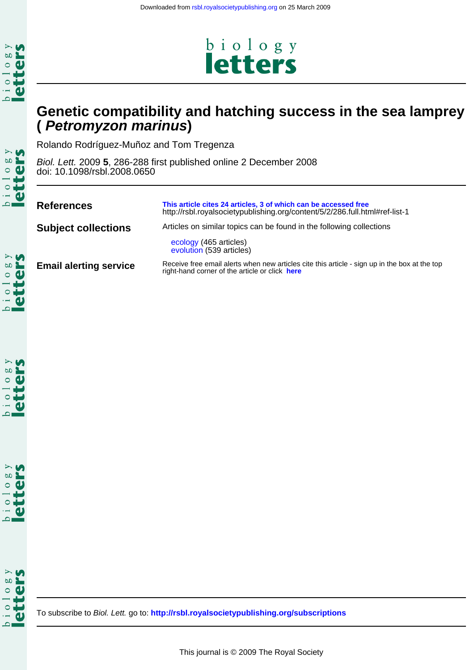

# **( Petromyzon marinus) Genetic compatibility and hatching success in the sea lamprey**

biology<br>letters

Rolando Rodríguez-Muñoz and Tom Tregenza

doi: 10.1098/rsbl.2008.0650 Biol. Lett. 2009 **5**, 286-288 first published online 2 December 2008

| <b>References</b>             | This article cites 24 articles, 3 of which can be accessed free<br>http://rsbl.royalsocietypublishing.org/content/5/2/286.full.html#ref-list-1  |  |  |  |  |
|-------------------------------|-------------------------------------------------------------------------------------------------------------------------------------------------|--|--|--|--|
| <b>Subject collections</b>    | Articles on similar topics can be found in the following collections                                                                            |  |  |  |  |
|                               | ecology (465 articles)<br>evolution (539 articles)                                                                                              |  |  |  |  |
| <b>Email alerting service</b> | Receive free email alerts when new articles cite this article - sign up in the box at the top<br>right-hand corner of the article or click here |  |  |  |  |

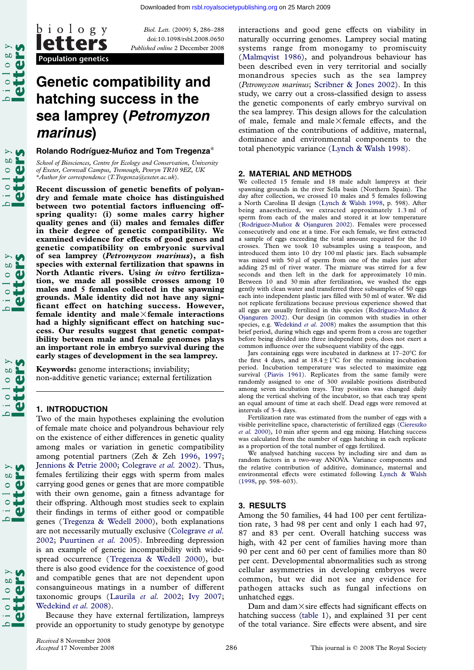

 $\frac{1}{2}$  as

 $\mathbf{g}$  $\circ$ 

 $\infty$  $\circ$ 

Population genetics

**Ietters** 

doi:10.1098/rsbl.2008.0650 Published online 2 December 2008

# Genetic compatibility and hatching success in the sea lamprey (Petromyzon marinus)

#### Rolando Rodríquez-Muñoz and Tom Tregenza\*

School of Biosciences, Centre for Ecology and Conservation, University of Exeter, Cornwall Campus, Tremough, Penryn TR10 9EZ, UK \*Author for correspondence (T.Tregenza@exeter.ac.uk).

Recent discussion of genetic benefits of polyandry and female mate choice has distinguished between two potential factors influencing offspring quality: (i) some males carry higher quality genes and (ii) males and females differ in their degree of genetic compatibility. We examined evidence for effects of good genes and genetic compatibility on embryonic survival of sea lamprey (Petromyzon marinus), a fish species with external fertilization that spawns in North Atlantic rivers. Using in vitro fertilization, we made all possible crosses among 10 males and 5 females collected in the spawning grounds. Male identity did not have any significant effect on hatching success. However, female identity and male $\times$ female interactions had a highly significant effect on hatching success. Our results suggest that genetic compatibility between male and female genomes plays an important role in embryo survival during the early stages of development in the sea lamprey.

Keywords: genome interactions; inviability; non-additive genetic variance; external fertilization

# 1. INTRODUCTION

Two of the main hypotheses explaining the evolution of female mate choice and polyandrous behaviour rely on the existence of either differences in genetic quality among males or variation in genetic compatibility among potential partners (Zeh & Zeh 1996, 1997; Jennions & Petrie 2000; Colegrave et al. 2002). Thus, females fertilizing their eggs with sperm from males carrying good genes or genes that are more compatible with their own genome, gain a fitness [advant](#page-3-0)a[ge for](#page-3-0) [their offspring. Although most studies seek to](#page-3-0) explain their findings in terms of either good or compatible genes (Tregenza & Wedell 2000), both explanations are not necessarily mutually exclusive (Colegrave et al. 2002; Puurtinen et al. 2005). Inbreeding depression is an example of genetic incompatibility with widespread [occurrence \(Tregenza &](#page-3-0) Wedell 2000), but there is also good evidence for the coe[xistence of good](#page-3-0) [and compatible genes that a](#page-3-0)re not dependent upon consanguineous matings in a number of different taxonomic groups ([Laurila](#page-3-0) et al. 2002; Ivy 2007; Wedekind et al. 2008).

Because they have external fertilization, lampreys provide an opportunity to study genotype by genotype

naturally occurring genomes. Lamprey social mating [systems ra](http://rsbl.royalsocietypublishing.org/)nge from monogamy to promiscuity (Malmqvist 1986), and polyandrous behaviour has been described even in very territorial and socially monandrous species such as the sea lamprey (Petromyzon marinus; Scribner & Jones 2002). In this s[tudy, we carry ou](#page-3-0)t a cross-classified design to assess the genetic components of early embryo survival on the sea lamprey. This design allows for the calculation of male, female and male $\times$ [female effects,](#page-3-0) and the estimation of the contributions of additive, maternal, dominance and environmental components to the total phenotypic variance (Lynch & Walsh 1998).

#### 2. MATERIAL AND METHODS

We collected 15 female and 18 male adult lampreys at their spawning grounds in the river [Sella basin \(Northern Spain\)](#page-3-0). The day after collection, we crossed 10 males and 5 females following a North Carolina II design (Lynch & Walsh 1998, p. 598). After being anaesthetized, we extracted approximately 1.3 ml of sperm from each of the males and stored it at low temperature (Rodríguez-Muñoz & Ojanguren 2002). Females were processed consecutively and one at a time. For each female, we first extracted a sample of eggs exceeding the total amount required for the 10 crosses. Then we took 10 [subsamples](#page-3-0) [using](#page-3-0) [a](#page-3-0) teaspoon, and introduced them into 10 dry 100 ml plastic jars. Each subsample was mixed with 50  $\mu$ l of sperm from one of the males just after [adding](#page-3-0) [25](#page-3-0) [ml](#page-3-0) [of](#page-3-0) [river](#page-3-0) [water.](#page-3-0) [The](#page-3-0) [mix](#page-3-0)ture was stirred for a few seconds and then left in the dark for approximately 10 min. Between 10 and 30 min after fertilization, we washed the eggs gently with clean water and transferred three subsamples of 50 eggs each into independent plastic jars filled with 50 ml of water. We did not replicate fertilizations because previous experience showed that all eggs are usually fertilized in this species (Rodríguez-Muñoz & Ojanguren 2002). Our design (in common with studies in other species, e.g. Wedekind et al. 2008) makes the assumption that this brief period, during which eggs and sperm from a cross are together before being divided into three independent pots, does not exert a common influence over the subsequent viability of the eggs.

Jars containing eggs were incubated in dar[kness](#page-3-0) [at](#page-3-0)  $17-20^{\circ}$ C for [the](#page-3-0) [first](#page-3-0) [4](#page-3-0) [days,](#page-3-0) and at  $18.4 \pm 1^{\circ}$ C for the remaining incubation period. Inc[ubation](#page-3-0) [temperature](#page-3-0) was selected to maximize egg survival (Piavis 1961). Replicates from the same family were randomly assigned to one of 300 available positions distributed among seven incubation trays. Tray position was changed daily along the vertical shelving of the incubator, so that each tray spent an equal amount of time at each shelf. Dead eggs were removed at intervals of 3–4 days.

Fertiliz[ation](#page-3-0) [rate](#page-3-0) [wa](#page-3-0)s estimated from the number of eggs with a visible perivitelline space, characteristic of fertilized eggs (Ciereszko et al. 2000), 10 min after sperm and egg mixing. Hatching success was calculated from the number of eggs hatching in each replicate as a proportion of the total number of eggs fertilized.

We analysed hatching success by including sire and dam as random factors in a two-way ANOVA. Variance components and the relative contribution of additive, dominance, mat[ernal](#page-3-0) [and](#page-3-0) [environmen](#page-3-0)tal effects were estimated following Lynch & Walsh (1998, pp. 598–603).

### 3. RESULTS

Among the 50 families, 44 had 100 per [cent fertiliza](#page-3-0)[tion](#page-3-0) rate, 3 had 98 per cent and only 1 each had 97, 87 and 83 per cent. Overall hatching success was high, with 42 per cent of families having more than 90 per cent and 60 per cent of families more than 80 per cent. Developmental abnormalities such as strong cellular asymmetries in developing embryos were common, but we did not see any evidence for pathogen attacks such as fungal infections on unhatched eggs.

Dam and dam $\times$ sire effects had significant effects on hatching success (table 1), and explained 31 per cent of the total variance. Sire effects were absent, and sire

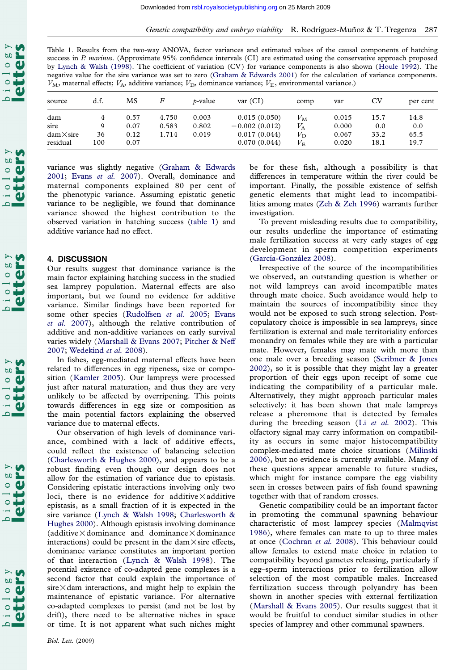

 $\frac{1}{10}$  o  $\frac{1}{10}$  o  $\frac{8}{5}$  y

Table 1. Results from the two-way ANOVA, [factor](http://rsbl.royalsocietypublishing.org/) [variances](http://rsbl.royalsocietypublishing.org/) [and](http://rsbl.royalsocietypublishing.org/) [estima](http://rsbl.royalsocietypublishing.org/)ted values of the causal components of hatching success in P. marinus. (Approximate 95% confidence intervals (CI) are estimated using the conservative approach proposed by Lynch & Walsh (1998). The coefficient of variation (CV) for variance components is also shown (Houle 1992). The negative value for the sire variance was set to zero (Graham & Edwards 2001) for the calculation of variance components.  $V_M$ , maternal effects;  $V_A$ , additive variance;  $V_D$ , dominance variance;  $V_E$ , environmental variance.)

| source                                                     | d.f.           | МS                           | F                       | <i>t</i> -value         | var (CI)                                                        | comp                                               | var                              | $_{\rm CV}$                 | per cent                    |
|------------------------------------------------------------|----------------|------------------------------|-------------------------|-------------------------|-----------------------------------------------------------------|----------------------------------------------------|----------------------------------|-----------------------------|-----------------------------|
| dam<br>sire<br>$\text{dam} \times \text{sire}$<br>residual | Q<br>36<br>100 | 0.57<br>0.07<br>0.12<br>0.07 | 4.750<br>0.583<br>1.714 | 0.003<br>0.802<br>0.019 | 0.015(0.050)<br>$-0.002(0.012)$<br>0.017(0.044)<br>0.070(0.044) | $V_M$<br>$V_{\rm A}$<br>$V_{\rm D}$<br>$V_{\rm E}$ | 0.015<br>0.000<br>0.067<br>0.020 | 15.7<br>0.0<br>33.2<br>18.1 | 14.8<br>0.0<br>65.5<br>19.7 |

variance was slightly negative (Graham & Edwards 2001; Evans et al. 2007). Overall, dominance and maternal components explained 80 per cent of the phenotypic variance. Assuming epistatic genetic variance to be negligible, we f[ound that dominance](#page-3-0) [varia](#page-3-0)n[ce showed the hig](#page-3-0)hest contribution to the observed variation in hatching success (table 1) and additive variance had no effect.

## 4. DISCUSSION

Our results suggest that dominance variance is the main factor explaining hatching success in the studied sea lamprey population. Maternal effects are also important, but we found no evidence for additive variance. Similar findings have been reported for some other species (Rudolfsen et al. 2005; Evans et al. 2007), although the relative contribution of additive and non-additive variances on early survival varies widely (Marshall & Evans 2007; Pitcher & Neff 2007; Wedekind et al. 2008).

[In fishes,](#page-3-0) egg-medi[ated](#page-3-0) [maternal](#page-3-0) [effects](#page-3-0) [ha](#page-3-0)v[e](#page-3-0) [been](#page-3-0) related to differences in egg ripeness, size or composition (Kamle[r 2005\). Our lampreys](#page-3-0) [were processed](#page-3-0) [just after natural maturatio](#page-3-0)n, and thus they are very unlikely to be affected by overripening. This points towards differences in egg size or composition as the m[ain potential](#page-3-0) factors explaining the observed variance due to maternal effects.

Our observation of high levels of dominance variance, combined with a lack of additive effects, could reflect the existence of balancing selection (Charlesworth & Hughes 2000), and appears to be a robust finding even though our design does not allow for the estimation of variance due to epistasis. Considering epistatic interactions involving only two l[oci, there is no evidence f](#page-3-0)or additive  $\times$  additive epistasis, as a small fraction of it is expected in the sire variance (Lynch & Walsh 1998; Charlesworth & Hughes 2000). Although epistasis involving dominance (additive  $\times$  dominance and dominance  $\times$  dominance interactions) could be present in the dam $\times$ sire effects, dominance va[riance constitutes an important portion](#page-3-0) [of that inter](#page-3-0)action (Lynch & Walsh 1998). The potential existence of co-adapted gene complexes is a second factor that could explain the importance of  $sire \times$ dam interactions, and might help to explain the maintenance of epist[atic variance. For alte](#page-3-0)rnative co-adapted complexes to persist (and not be lost by drift), there need to be alternative niches in space or time. It is not apparent what such niches might be for these fish, although a possibility is that differences in temperature within the river could be important. Finally, the possible existence of selfish genetic elements that might lead to incompatibilities among mates (Zeh & Zeh 1996) warrants further investigation.

To prevent misleading results due to compatibility, our results underline the importance of estimating male fertilization s[uccess at very ea](#page-3-0)rly stages of egg development in sperm competition experiments (García-González 2008).

Irrespective of the source of the incompatibilities we observed, an outstanding question is whether or not wild lampreys can avoid incompatible mates t[hrough mate choice. S](#page-3-0)uch avoidance would help to maintain the sources of incompatibility since they would not be exposed to such strong selection. Postcopulatory choice is impossible in sea lampreys, since fertilization is external and male territoriality enforces monandry on females while they are with a particular mate. However, females may mate with more than one male over a breeding season (Scribner & Jones 2002), so it is possible that they might lay a greater proportion of their eggs upon receipt of some cue indicating the compatibility of a particular male. Alternatively, they might approach [particular males](#page-3-0) [select](#page-3-0)ively: it has been shown that male lampreys release a pheromone that is detected by females during the breeding season (Li et al. 2002). This olfactory signal may carry information on compatibility as occurs in some major histocompatibility complex-mediated mate choice situations (Milinski 2006), but no evidence is curre[ntly available. M](#page-3-0)any of these questions appear amenable to future studies, which might for instance compare the egg viability seen in crosses between pairs of fish found s[pawning](#page-3-0) [toget](#page-3-0)her with that of random crosses.

Genetic compatibility could be an important factor in promoting the communal spawning behaviour characteristic of most lamprey species (Malmqvist 1986), where females can mate to up to three males at once (Cochran et al. 2008). This behaviour could allow females to extend mate choice in relation to compatibility beyond gametes releasing, pa[rticularly if](#page-3-0) [egg–s](#page-3-0)perm interactions prior to fertilization allow selection [of the most comp](#page-3-0)atible males. Increased fertilization success through polyandry has been shown in another species with external fertilization (Marshall & Evans 2005). Our results suggest that it would be fruitful to conduct similar studies in other species of lamprey and other communal spawners.